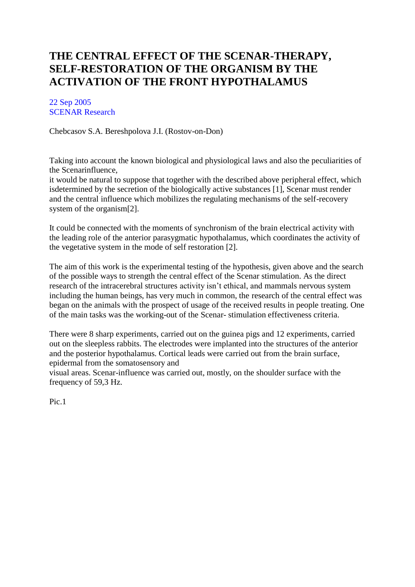## **[THE CENTRAL EFFECT OF THE SCENAR-THERAPY,](https://www.scenar.com.au/the-central-effect-of-the-scenar-therapy-self-restoration-of-the-organism-by-the-activation-of-the-front-hypothalamus/)  [SELF-RESTORATION OF THE ORGANISM BY THE](https://www.scenar.com.au/the-central-effect-of-the-scenar-therapy-self-restoration-of-the-organism-by-the-activation-of-the-front-hypothalamus/)  [ACTIVATION OF THE FRONT HYPOTHALAMUS](https://www.scenar.com.au/the-central-effect-of-the-scenar-therapy-self-restoration-of-the-organism-by-the-activation-of-the-front-hypothalamus/)**

[22 Sep 2005](https://www.scenar.com.au/2005/09/22/) [SCENAR Research](https://www.scenar.com.au/tag/scenar-research/)

Chebcasov S.A. Bereshpolova J.I. (Rostov-on-Don)

Taking into account the known biological and physiological laws and also the peculiarities of the Scenarinfluence,

it would be natural to suppose that together with the described above peripheral effect, which isdetermined by the secretion of the biologically active substances [1], Scenar must render and the central influence which mobilizes the regulating mechanisms of the self-recovery system of the organism[2].

It could be connected with the moments of synchronism of the brain electrical activity with the leading role of the anterior parasygmatic hypothalamus, which coordinates the activity of the vegetative system in the mode of self restoration [2].

The aim of this work is the experimental testing of the hypothesis, given above and the search of the possible ways to strength the central effect of the Scenar stimulation. As the direct research of the intracerebral structures activity isn't ethical, and mammals nervous system including the human beings, has very much in common, the research of the central effect was began on the animals with the prospect of usage of the received results in people treating. One of the main tasks was the working-out of the Scenar- stimulation effectiveness criteria.

There were 8 sharp experiments, carried out on the guinea pigs and 12 experiments, carried out on the sleepless rabbits. The electrodes were implanted into the structures of the anterior and the posterior hypothalamus. Cortical leads were carried out from the brain surface, epidermal from the somatosensory and

visual areas. Scenar-influence was carried out, mostly, on the shoulder surface with the frequency of 59,3 Hz.

Pic.1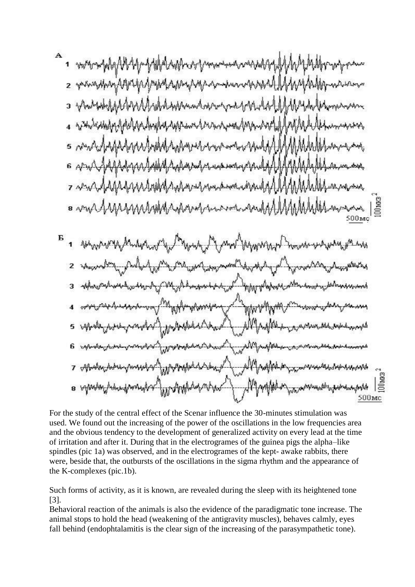For the study of the central effect of the Scenar influence the 30-minutes stimulation was used. We found out the increasing of the power of the oscillations in the low frequencies area and the obvious tendency to the development of generalized activity on every lead at the time of irritation and after it. During that in the electrogrames of the guinea pigs the alpha–like spindles (pic 1a) was observed, and in the electrogrames of the kept- awake rabbits, there were, beside that, the outbursts of the oscillations in the sigma rhythm and the appearance of the K-complexes (pic.1b).

500<sub>Mc</sub>

Such forms of activity, as it is known, are revealed during the sleep with its heightened tone [3].

Behavioral reaction of the animals is also the evidence of the paradigmatic tone increase. The animal stops to hold the head (weakening of the antigravity muscles), behaves calmly, eyes fall behind (endophtalamitis is the clear sign of the increasing of the parasympathetic tone).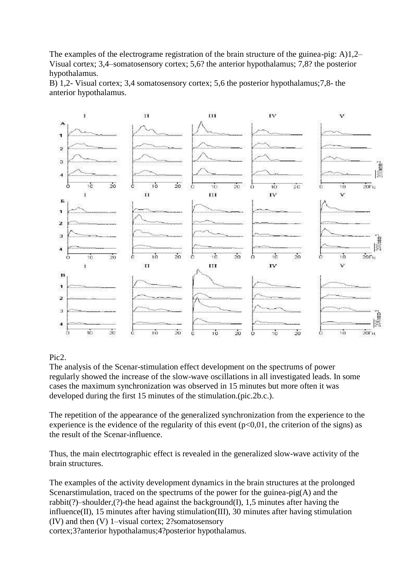The examples of the electrograme registration of the brain structure of the guinea-pig: A)1,2– Visual cortex; 3,4–somatosensory cortex; 5,6? the anterior hypothalamus; 7,8? the posterior hypothalamus.

B) 1,2- Visual cortex; 3,4 somatosensory cortex; 5,6 the posterior hypothalamus;7,8- the anterior hypothalamus.



## Pic2.

The analysis of the Scenar-stimulation effect development on the spectrums of power regularly showed the increase of the slow-wave oscillations in all investigated leads. In some cases the maximum synchronization was observed in 15 minutes but more often it was developed during the first 15 minutes of the stimulation.(pic.2b.c.).

The repetition of the appearance of the generalized synchronization from the experience to the experience is the evidence of the regularity of this event  $(p<0,01)$ , the criterion of the signs) as the result of the Scenar-influence.

Thus, the main electrtographic effect is revealed in the generalized slow-wave activity of the brain structures.

The examples of the activity development dynamics in the brain structures at the prolonged Scenarstimulation, traced on the spectrums of the power for the guinea-pig(A) and the rabbit(?)–shoulder,(?)-the head against the background(I), 1,5 minutes after having the influence(II), 15 minutes after having stimulation(III), 30 minutes after having stimulation (IV) and then (V) 1–visual cortex; 2?somatosensory

cortex;3?anterior hypothalamus;4?posterior hypothalamus.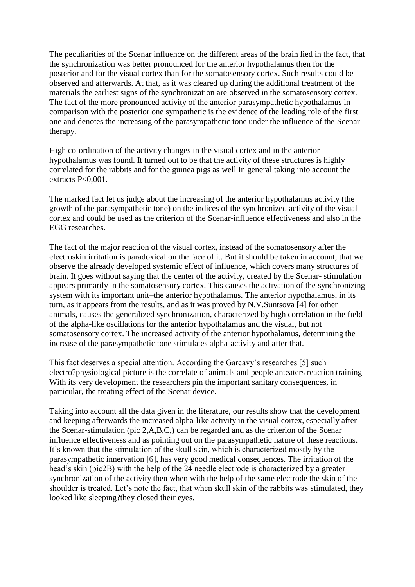The peculiarities of the Scenar influence on the different areas of the brain lied in the fact, that the synchronization was better pronounced for the anterior hypothalamus then for the posterior and for the visual cortex than for the somatosensory cortex. Such results could be observed and afterwards. At that, as it was cleared up during the additional treatment of the materials the earliest signs of the synchronization are observed in the somatosensory cortex. The fact of the more pronounced activity of the anterior parasympathetic hypothalamus in comparison with the posterior one sympathetic is the evidence of the leading role of the first one and denotes the increasing of the parasympathetic tone under the influence of the Scenar therapy.

High co-ordination of the activity changes in the visual cortex and in the anterior hypothalamus was found. It turned out to be that the activity of these structures is highly correlated for the rabbits and for the guinea pigs as well In general taking into account the extracts P<0,001.

The marked fact let us judge about the increasing of the anterior hypothalamus activity (the growth of the parasympathetic tone) on the indices of the synchronized activity of the visual cortex and could be used as the criterion of the Scenar-influence effectiveness and also in the EGG researches.

The fact of the major reaction of the visual cortex, instead of the somatosensory after the electroskin irritation is paradoxical on the face of it. But it should be taken in account, that we observe the already developed systemic effect of influence, which covers many structures of brain. It goes without saying that the center of the activity, created by the Scenar- stimulation appears primarily in the somatosensory cortex. This causes the activation of the synchronizing system with its important unit–the anterior hypothalamus. The anterior hypothalamus, in its turn, as it appears from the results, and as it was proved by N.V.Suntsova [4] for other animals, causes the generalized synchronization, characterized by high correlation in the field of the alpha-like oscillations for the anterior hypothalamus and the visual, but not somatosensory cortex. The increased activity of the anterior hypothalamus, determining the increase of the parasympathetic tone stimulates alpha-activity and after that.

This fact deserves a special attention. According the Garcavy's researches [5] such electro?physiological picture is the correlate of animals and people anteaters reaction training With its very development the researchers pin the important sanitary consequences, in particular, the treating effect of the Scenar device.

Taking into account all the data given in the literature, our results show that the development and keeping afterwards the increased alpha-like activity in the visual cortex, especially after the Scenar-stimulation (pic 2,A,B,C,) can be regarded and as the criterion of the Scenar influence effectiveness and as pointing out on the parasympathetic nature of these reactions. It's known that the stimulation of the skull skin, which is characterized mostly by the parasympathetic innervation [6], has very good medical consequences. The irritation of the head's skin (pic2B) with the help of the 24 needle electrode is characterized by a greater synchronization of the activity then when with the help of the same electrode the skin of the shoulder is treated. Let's note the fact, that when skull skin of the rabbits was stimulated, they looked like sleeping?they closed their eyes.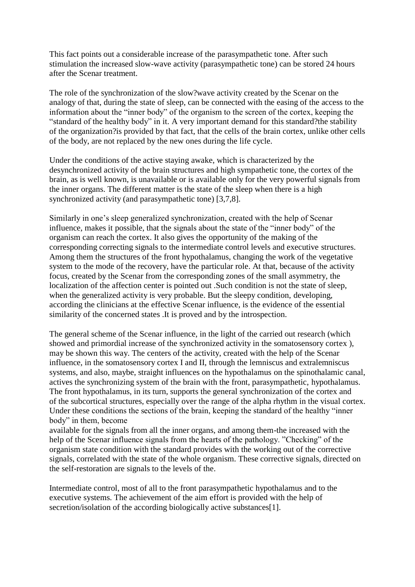This fact points out a considerable increase of the parasympathetic tone. After such stimulation the increased slow-wave activity (parasympathetic tone) can be stored 24 hours after the Scenar treatment.

The role of the synchronization of the slow?wave activity created by the Scenar on the analogy of that, during the state of sleep, can be connected with the easing of the access to the information about the "inner body" of the organism to the screen of the cortex, keeping the "standard of the healthy body" in it. A very important demand for this standard?the stability of the organization?is provided by that fact, that the cells of the brain cortex, unlike other cells of the body, are not replaced by the new ones during the life cycle.

Under the conditions of the active staying awake, which is characterized by the desynchronized activity of the brain structures and high sympathetic tone, the cortex of the brain, as is well known, is unavailable or is available only for the very powerful signals from the inner organs. The different matter is the state of the sleep when there is a high synchronized activity (and parasympathetic tone) [3,7,8].

Similarly in one's sleep generalized synchronization, created with the help of Scenar influence, makes it possible, that the signals about the state of the "inner body" of the organism can reach the cortex. It also gives the opportunity of the making of the corresponding correcting signals to the intermediate control levels and executive structures. Among them the structures of the front hypothalamus, changing the work of the vegetative system to the mode of the recovery, have the particular role. At that, because of the activity focus, created by the Scenar from the corresponding zones of the small asymmetry, the localization of the affection center is pointed out .Such condition is not the state of sleep, when the generalized activity is very probable. But the sleepy condition, developing, according the clinicians at the effective Scenar influence, is the evidence of the essential similarity of the concerned states .It is proved and by the introspection.

The general scheme of the Scenar influence, in the light of the carried out research (which showed and primordial increase of the synchronized activity in the somatosensory cortex ), may be shown this way. The centers of the activity, created with the help of the Scenar influence, in the somatosensory cortex I and II, through the lemniscus and extralemniscus systems, and also, maybe, straight influences on the hypothalamus on the spinothalamic canal, actives the synchronizing system of the brain with the front, parasympathetic, hypothalamus. The front hypothalamus, in its turn, supports the general synchronization of the cortex and of the subcortical structures, especially over the range of the alpha rhythm in the visual cortex. Under these conditions the sections of the brain, keeping the standard of the healthy "inner body" in them, become

available for the signals from all the inner organs, and among them-the increased with the help of the Scenar influence signals from the hearts of the pathology. "Checking" of the organism state condition with the standard provides with the working out of the corrective signals, correlated with the state of the whole organism. These corrective signals, directed on the self-restoration are signals to the levels of the.

Intermediate control, most of all to the front parasympathetic hypothalamus and to the executive systems. The achievement of the aim effort is provided with the help of secretion/isolation of the according biologically active substances[1].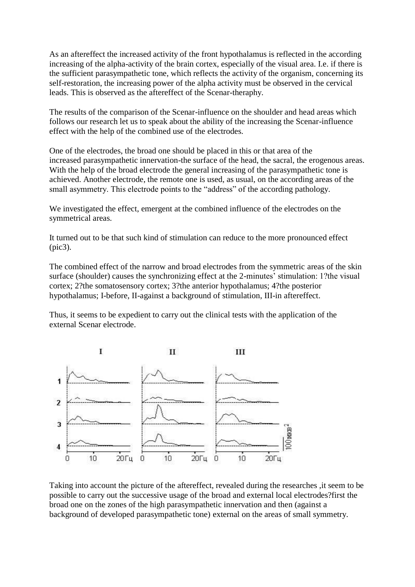As an aftereffect the increased activity of the front hypothalamus is reflected in the according increasing of the alpha-activity of the brain cortex, especially of the visual area. I.e. if there is the sufficient parasympathetic tone, which reflects the activity of the organism, concerning its self-restoration, the increasing power of the alpha activity must be observed in the cervical leads. This is observed as the aftereffect of the Scenar-theraphy.

The results of the comparison of the Scenar-influence on the shoulder and head areas which follows our research let us to speak about the ability of the increasing the Scenar-influence effect with the help of the combined use of the electrodes.

One of the electrodes, the broad one should be placed in this or that area of the increased parasympathetic innervation-the surface of the head, the sacral, the erogenous areas. With the help of the broad electrode the general increasing of the parasympathetic tone is achieved. Another electrode, the remote one is used, as usual, on the according areas of the small asymmetry. This electrode points to the "address" of the according pathology.

We investigated the effect, emergent at the combined influence of the electrodes on the symmetrical areas.

It turned out to be that such kind of stimulation can reduce to the more pronounced effect (pic3).

The combined effect of the narrow and broad electrodes from the symmetric areas of the skin surface (shoulder) causes the synchronizing effect at the 2-minutes' stimulation: 1?the visual cortex; 2?the somatosensory cortex; 3?the anterior hypothalamus; 4?the posterior hypothalamus; I-before, II-against a background of stimulation, III-in aftereffect.

Thus, it seems to be expedient to carry out the clinical tests with the application of the external Scenar electrode.



Taking into account the picture of the aftereffect, revealed during the researches ,it seem to be possible to carry out the successive usage of the broad and external local electrodes?first the broad one on the zones of the high parasympathetic innervation and then (against a background of developed parasympathetic tone) external on the areas of small symmetry.